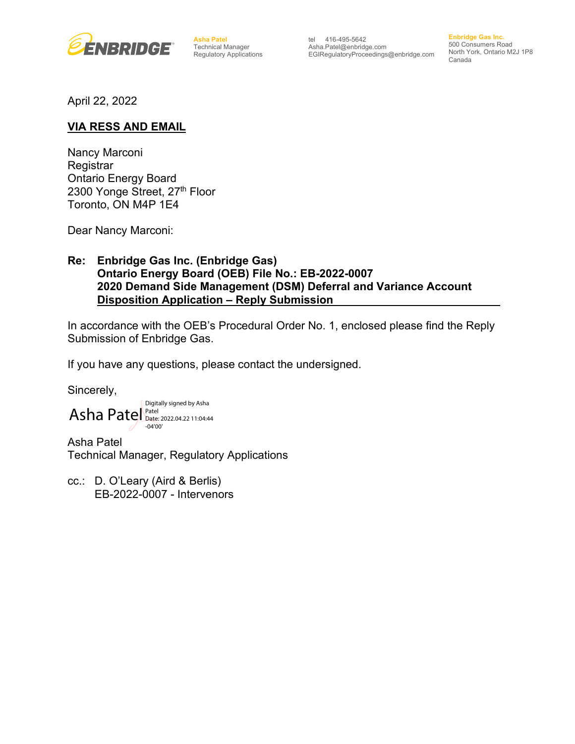

**Asha Patel** Technical Manager Regulatory Applications

tel 416-495-5642 Asha.Patel@enbridge.com EGIRegulatoryProceedings@enbridge.com

**Enbridge Gas Inc.** 500 Consumers Road North York, Ontario M2J 1P8 Canada

April 22, 2022

## **VIA RESS AND EMAIL**

Nancy Marconi Registrar Ontario Energy Board 2300 Yonge Street, 27th Floor Toronto, ON M4P 1E4

Dear Nancy Marconi:

## **Re: Enbridge Gas Inc. (Enbridge Gas) Ontario Energy Board (OEB) File No.: EB-2022-0007 2020 Demand Side Management (DSM) Deferral and Variance Account Disposition Application – Reply Submission**

In accordance with the OEB's Procedural Order No. 1, enclosed please find the Reply Submission of Enbridge Gas.

If you have any questions, please contact the undersigned.

Sincerely,

Asha Patel Patel Digitally signed by Asha Date: 2022.04.22 11:04:44 -04'00'

Asha Patel Technical Manager, Regulatory Applications

cc.: D. O'Leary (Aird & Berlis) EB-2022-0007 - Intervenors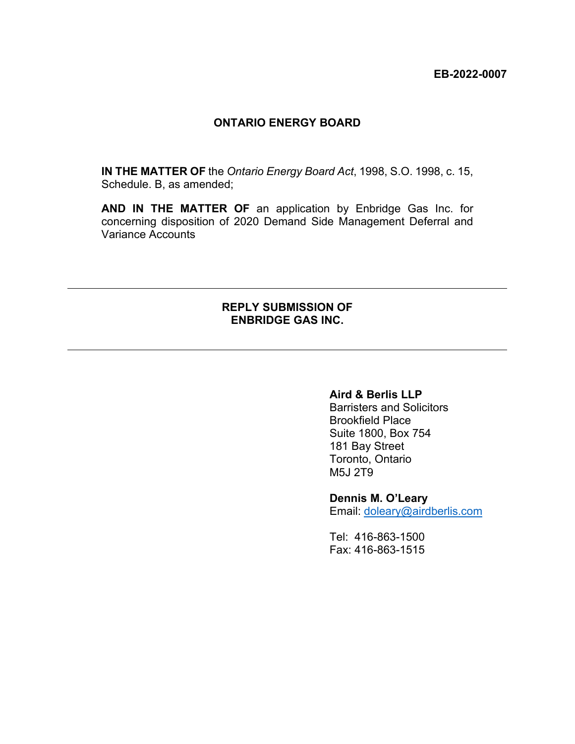#### **ONTARIO ENERGY BOARD**

**IN THE MATTER OF** the *Ontario Energy Board Act*, 1998, S.O. 1998, c. 15, Schedule. B, as amended;

**AND IN THE MATTER OF** an application by Enbridge Gas Inc. for concerning disposition of 2020 Demand Side Management Deferral and Variance Accounts

## **REPLY SUBMISSION OF ENBRIDGE GAS INC.**

 $\overline{a}$ 

 $\overline{a}$ 

## **Aird & Berlis LLP**

Barristers and Solicitors Brookfield Place Suite 1800, Box 754 181 Bay Street Toronto, Ontario M5J 2T9

#### **Dennis M. O'Leary**

Email: [doleary@airdberlis.com](mailto:doleary@airdberlis.com)

Tel: 416-863-1500 Fax: 416-863-1515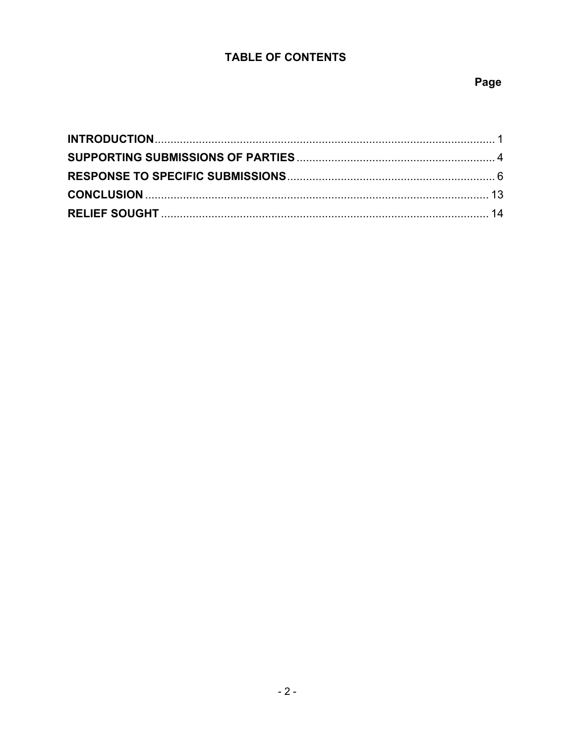# **TABLE OF CONTENTS**

# Page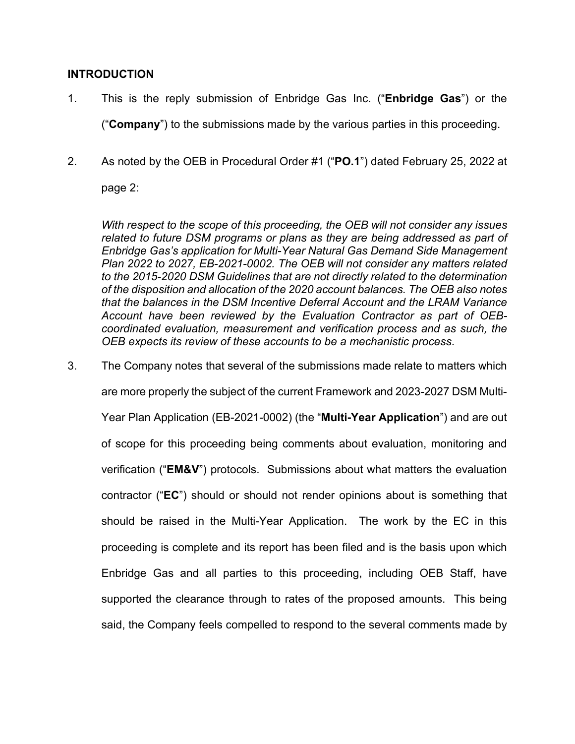## <span id="page-3-0"></span>**INTRODUCTION**

- 1. This is the reply submission of Enbridge Gas Inc. ("**Enbridge Gas**") or the ("**Company**") to the submissions made by the various parties in this proceeding.
- 2. As noted by the OEB in Procedural Order #1 ("**PO.1**") dated February 25, 2022 at

page 2:

*With respect to the scope of this proceeding, the OEB will not consider any issues*  related to future DSM programs or plans as they are being addressed as part of *Enbridge Gas's application for Multi-Year Natural Gas Demand Side Management Plan 2022 to 2027, EB-2021-0002. The OEB will not consider any matters related to the 2015-2020 DSM Guidelines that are not directly related to the determination of the disposition and allocation of the 2020 account balances. The OEB also notes that the balances in the DSM Incentive Deferral Account and the LRAM Variance Account have been reviewed by the Evaluation Contractor as part of OEBcoordinated evaluation, measurement and verification process and as such, the OEB expects its review of these accounts to be a mechanistic process*.

3. The Company notes that several of the submissions made relate to matters which are more properly the subject of the current Framework and 2023-2027 DSM Multi-Year Plan Application (EB-2021-0002) (the "**Multi-Year Application**") and are out of scope for this proceeding being comments about evaluation, monitoring and verification ("**EM&V**") protocols. Submissions about what matters the evaluation contractor ("**EC**") should or should not render opinions about is something that should be raised in the Multi-Year Application. The work by the EC in this proceeding is complete and its report has been filed and is the basis upon which Enbridge Gas and all parties to this proceeding, including OEB Staff, have supported the clearance through to rates of the proposed amounts. This being said, the Company feels compelled to respond to the several comments made by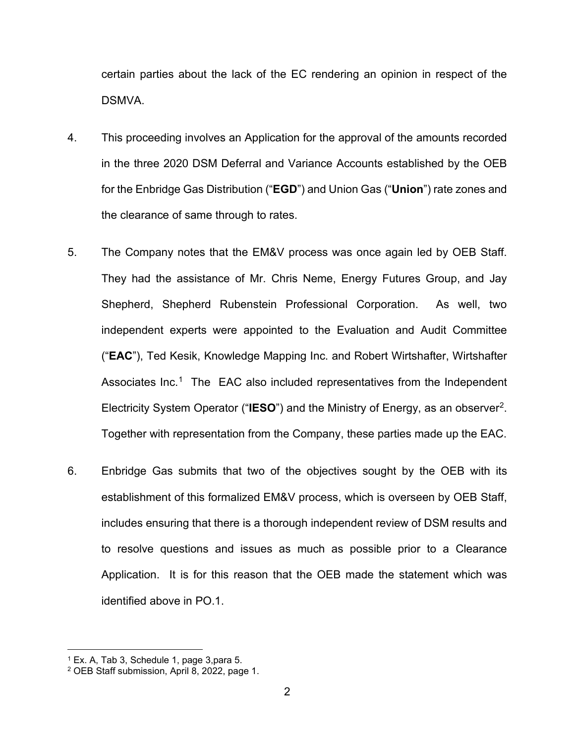certain parties about the lack of the EC rendering an opinion in respect of the DSMVA.

- 4. This proceeding involves an Application for the approval of the amounts recorded in the three 2020 DSM Deferral and Variance Accounts established by the OEB for the Enbridge Gas Distribution ("**EGD**") and Union Gas ("**Union**") rate zones and the clearance of same through to rates.
- 5. The Company notes that the EM&V process was once again led by OEB Staff. They had the assistance of Mr. Chris Neme, Energy Futures Group, and Jay Shepherd, Shepherd Rubenstein Professional Corporation. As well, two independent experts were appointed to the Evaluation and Audit Committee ("**EAC**"), Ted Kesik, Knowledge Mapping Inc. and Robert Wirtshafter, Wirtshafter Associates Inc.<sup>1</sup> The EAC also included representatives from the Independent Electricity System Operator ("**IESO**") and the Ministry of Energy, as an observer[2.](#page-4-1) Together with representation from the Company, these parties made up the EAC.
- 6. Enbridge Gas submits that two of the objectives sought by the OEB with its establishment of this formalized EM&V process, which is overseen by OEB Staff, includes ensuring that there is a thorough independent review of DSM results and to resolve questions and issues as much as possible prior to a Clearance Application. It is for this reason that the OEB made the statement which was identified above in PO.1.

<span id="page-4-0"></span><sup>1</sup> Ex. A, Tab 3, Schedule 1, page 3,para 5.

<span id="page-4-1"></span><sup>2</sup> OEB Staff submission, April 8, 2022, page 1.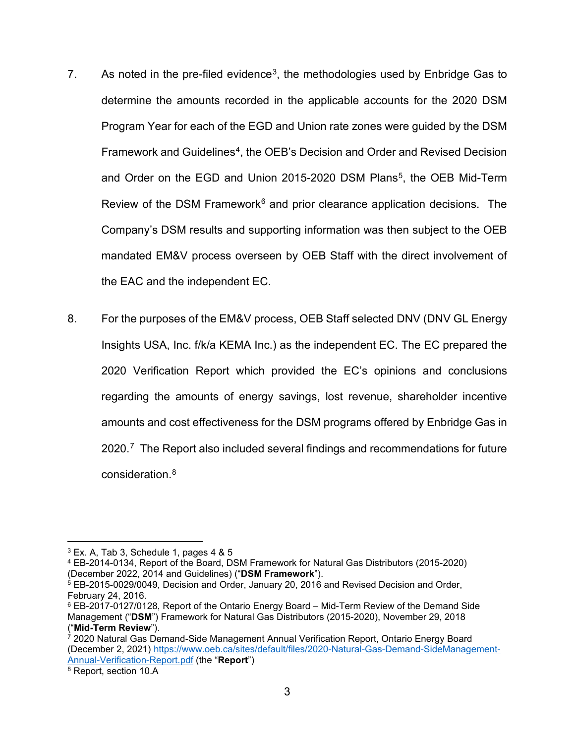- 7. As noted in the pre-filed evidence<sup>3</sup>, the methodologies used by Enbridge Gas to determine the amounts recorded in the applicable accounts for the 2020 DSM Program Year for each of the EGD and Union rate zones were guided by the DSM Framework and Guidelines<sup>4</sup>, the OEB's Decision and Order and Revised Decision and Order on the EGD and Union 2015-2020 DSM Plans<sup>5</sup>, the OEB Mid-Term Review of the DSM Framework $6$  and prior clearance application decisions. The Company's DSM results and supporting information was then subject to the OEB mandated EM&V process overseen by OEB Staff with the direct involvement of the EAC and the independent EC.
- 8. For the purposes of the EM&V process, OEB Staff selected DNV (DNV GL Energy Insights USA, Inc. f/k/a KEMA Inc.) as the independent EC. The EC prepared the 2020 Verification Report which provided the EC's opinions and conclusions regarding the amounts of energy savings, lost revenue, shareholder incentive amounts and cost effectiveness for the DSM programs offered by Enbridge Gas in 2020.<sup>[7](#page-5-4)</sup> The Report also included several findings and recommendations for future consideration. [8](#page-5-5)

<span id="page-5-0"></span> $3$  Ex. A, Tab 3, Schedule 1, pages 4 & 5

<span id="page-5-1"></span><sup>4</sup> EB-2014-0134, Report of the Board, DSM Framework for Natural Gas Distributors (2015-2020) (December 2022, 2014 and Guidelines) ("**DSM Framework**").

<span id="page-5-2"></span> $5$  EB-2015-0029/0049, Decision and Order, January 20, 2016 and Revised Decision and Order, February 24, 2016.

<span id="page-5-3"></span><sup>6</sup> EB-2017-0127/0128, Report of the Ontario Energy Board – Mid-Term Review of the Demand Side Management ("**DSM**") Framework for Natural Gas Distributors (2015-2020), November 29, 2018 ("**Mid-Term Review**").<br><sup>7</sup> 2020 Natural Gas Demand-Side Management Annual Verification Report, Ontario Energy Board

<span id="page-5-4"></span><sup>(</sup>December 2, 2021) [https://www.oeb.ca/sites/default/files/2020-Natural-Gas-Demand-SideManagement-](https://www.oeb.ca/sites/default/files/2020-Natural-Gas-Demand-SideManagement-Annual-Verification-Report.pdf)[Annual-Verification-Report.pdf](https://www.oeb.ca/sites/default/files/2020-Natural-Gas-Demand-SideManagement-Annual-Verification-Report.pdf) (the "**Report**")

<span id="page-5-5"></span><sup>8</sup> Report, section 10.A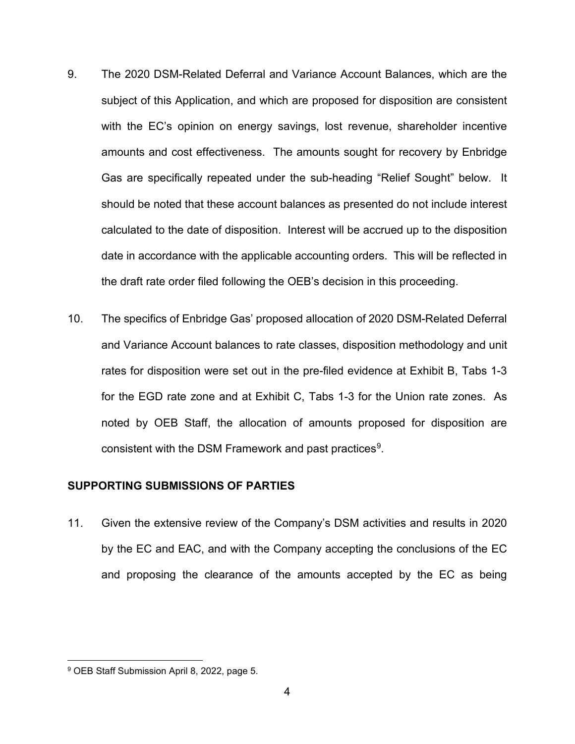- 9. The 2020 DSM-Related Deferral and Variance Account Balances, which are the subject of this Application, and which are proposed for disposition are consistent with the EC's opinion on energy savings, lost revenue, shareholder incentive amounts and cost effectiveness. The amounts sought for recovery by Enbridge Gas are specifically repeated under the sub-heading "Relief Sought" below. It should be noted that these account balances as presented do not include interest calculated to the date of disposition. Interest will be accrued up to the disposition date in accordance with the applicable accounting orders. This will be reflected in the draft rate order filed following the OEB's decision in this proceeding.
- 10. The specifics of Enbridge Gas' proposed allocation of 2020 DSM-Related Deferral and Variance Account balances to rate classes, disposition methodology and unit rates for disposition were set out in the pre-filed evidence at Exhibit B, Tabs 1-3 for the EGD rate zone and at Exhibit C, Tabs 1-3 for the Union rate zones. As noted by OEB Staff, the allocation of amounts proposed for disposition are consistent with the DSM Framework and past practices<sup>9</sup>.

#### <span id="page-6-0"></span>**SUPPORTING SUBMISSIONS OF PARTIES**

11. Given the extensive review of the Company's DSM activities and results in 2020 by the EC and EAC, and with the Company accepting the conclusions of the EC and proposing the clearance of the amounts accepted by the EC as being

<span id="page-6-1"></span><sup>9</sup> OEB Staff Submission April 8, 2022, page 5.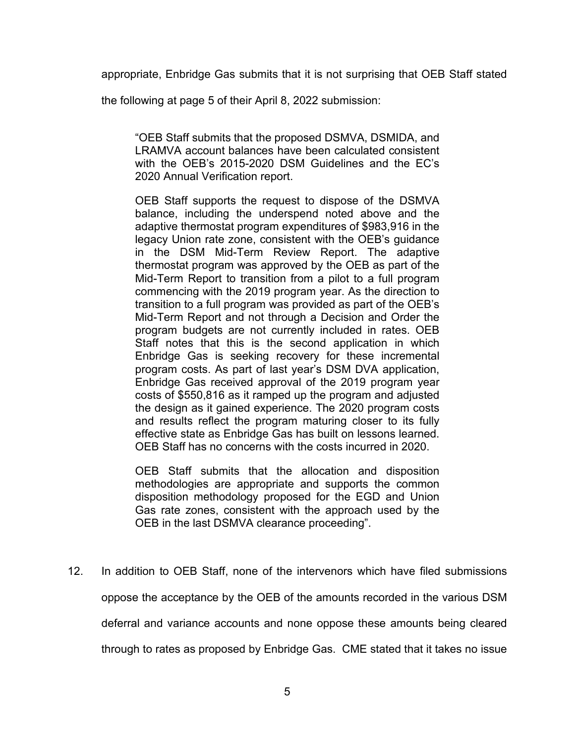appropriate, Enbridge Gas submits that it is not surprising that OEB Staff stated

the following at page 5 of their April 8, 2022 submission:

"OEB Staff submits that the proposed DSMVA, DSMIDA, and LRAMVA account balances have been calculated consistent with the OEB's 2015-2020 DSM Guidelines and the EC's 2020 Annual Verification report.

OEB Staff supports the request to dispose of the DSMVA balance, including the underspend noted above and the adaptive thermostat program expenditures of \$983,916 in the legacy Union rate zone, consistent with the OEB's guidance in the DSM Mid-Term Review Report. The adaptive thermostat program was approved by the OEB as part of the Mid-Term Report to transition from a pilot to a full program commencing with the 2019 program year. As the direction to transition to a full program was provided as part of the OEB's Mid-Term Report and not through a Decision and Order the program budgets are not currently included in rates. OEB Staff notes that this is the second application in which Enbridge Gas is seeking recovery for these incremental program costs. As part of last year's DSM DVA application, Enbridge Gas received approval of the 2019 program year costs of \$550,816 as it ramped up the program and adjusted the design as it gained experience. The 2020 program costs and results reflect the program maturing closer to its fully effective state as Enbridge Gas has built on lessons learned. OEB Staff has no concerns with the costs incurred in 2020.

OEB Staff submits that the allocation and disposition methodologies are appropriate and supports the common disposition methodology proposed for the EGD and Union Gas rate zones, consistent with the approach used by the OEB in the last DSMVA clearance proceeding".

12. In addition to OEB Staff, none of the intervenors which have filed submissions oppose the acceptance by the OEB of the amounts recorded in the various DSM deferral and variance accounts and none oppose these amounts being cleared through to rates as proposed by Enbridge Gas. CME stated that it takes no issue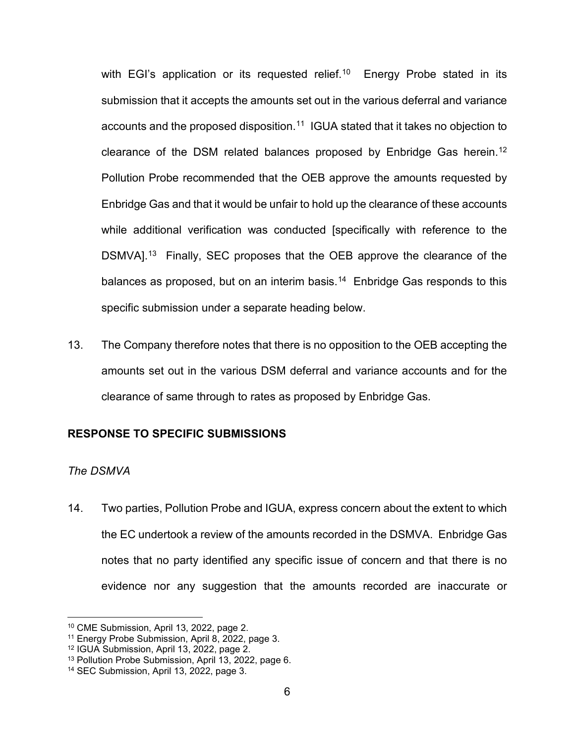with EGI's application or its requested relief.<sup>10</sup> Energy Probe stated in its submission that it accepts the amounts set out in the various deferral and variance accounts and the proposed disposition.<sup>[11](#page-8-2)</sup> IGUA stated that it takes no objection to clearance of the DSM related balances proposed by Enbridge Gas herein.<sup>[12](#page-8-3)</sup> Pollution Probe recommended that the OEB approve the amounts requested by Enbridge Gas and that it would be unfair to hold up the clearance of these accounts while additional verification was conducted [specifically with reference to the DSMVA].<sup>13</sup> Finally, SEC proposes that the OEB approve the clearance of the balances as proposed, but on an interim basis.<sup>14</sup> Enbridge Gas responds to this specific submission under a separate heading below.

13. The Company therefore notes that there is no opposition to the OEB accepting the amounts set out in the various DSM deferral and variance accounts and for the clearance of same through to rates as proposed by Enbridge Gas.

#### <span id="page-8-0"></span>**RESPONSE TO SPECIFIC SUBMISSIONS**

#### *The DSMVA*

14. Two parties, Pollution Probe and IGUA, express concern about the extent to which the EC undertook a review of the amounts recorded in the DSMVA. Enbridge Gas notes that no party identified any specific issue of concern and that there is no evidence nor any suggestion that the amounts recorded are inaccurate or

<span id="page-8-1"></span><sup>10</sup> CME Submission, April 13, 2022, page 2.

<span id="page-8-2"></span><sup>11</sup> Energy Probe Submission, April 8, 2022, page 3.

<span id="page-8-3"></span><sup>12</sup> IGUA Submission, April 13, 2022, page 2.

<span id="page-8-4"></span><sup>13</sup> Pollution Probe Submission, April 13, 2022, page 6.

<span id="page-8-5"></span><sup>14</sup> SEC Submission, April 13, 2022, page 3.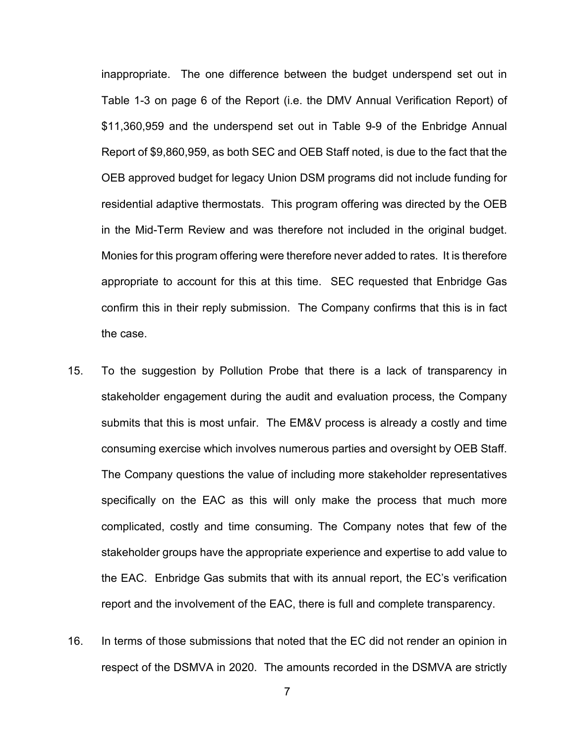inappropriate. The one difference between the budget underspend set out in Table 1-3 on page 6 of the Report (i.e. the DMV Annual Verification Report) of \$11,360,959 and the underspend set out in Table 9-9 of the Enbridge Annual Report of \$9,860,959, as both SEC and OEB Staff noted, is due to the fact that the OEB approved budget for legacy Union DSM programs did not include funding for residential adaptive thermostats. This program offering was directed by the OEB in the Mid-Term Review and was therefore not included in the original budget. Monies for this program offering were therefore never added to rates. It is therefore appropriate to account for this at this time. SEC requested that Enbridge Gas confirm this in their reply submission. The Company confirms that this is in fact the case.

- 15. To the suggestion by Pollution Probe that there is a lack of transparency in stakeholder engagement during the audit and evaluation process, the Company submits that this is most unfair. The EM&V process is already a costly and time consuming exercise which involves numerous parties and oversight by OEB Staff. The Company questions the value of including more stakeholder representatives specifically on the EAC as this will only make the process that much more complicated, costly and time consuming. The Company notes that few of the stakeholder groups have the appropriate experience and expertise to add value to the EAC. Enbridge Gas submits that with its annual report, the EC's verification report and the involvement of the EAC, there is full and complete transparency.
- 16. In terms of those submissions that noted that the EC did not render an opinion in respect of the DSMVA in 2020. The amounts recorded in the DSMVA are strictly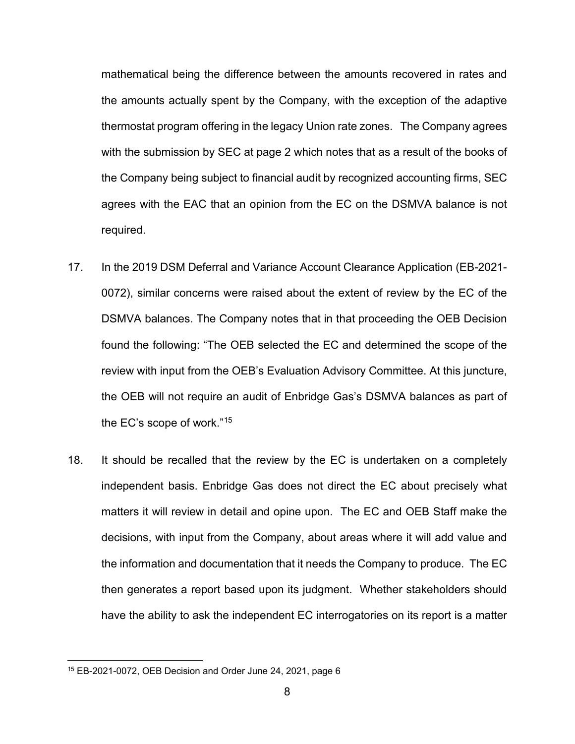mathematical being the difference between the amounts recovered in rates and the amounts actually spent by the Company, with the exception of the adaptive thermostat program offering in the legacy Union rate zones. The Company agrees with the submission by SEC at page 2 which notes that as a result of the books of the Company being subject to financial audit by recognized accounting firms, SEC agrees with the EAC that an opinion from the EC on the DSMVA balance is not required.

- 17. In the 2019 DSM Deferral and Variance Account Clearance Application (EB-2021- 0072), similar concerns were raised about the extent of review by the EC of the DSMVA balances. The Company notes that in that proceeding the OEB Decision found the following: "The OEB selected the EC and determined the scope of the review with input from the OEB's Evaluation Advisory Committee. At this juncture, the OEB will not require an audit of Enbridge Gas's DSMVA balances as part of the EC's scope of work."[15](#page-10-0)
- 18. It should be recalled that the review by the EC is undertaken on a completely independent basis. Enbridge Gas does not direct the EC about precisely what matters it will review in detail and opine upon. The EC and OEB Staff make the decisions, with input from the Company, about areas where it will add value and the information and documentation that it needs the Company to produce. The EC then generates a report based upon its judgment. Whether stakeholders should have the ability to ask the independent EC interrogatories on its report is a matter

<span id="page-10-0"></span><sup>15</sup> EB-2021-0072, OEB Decision and Order June 24, 2021, page 6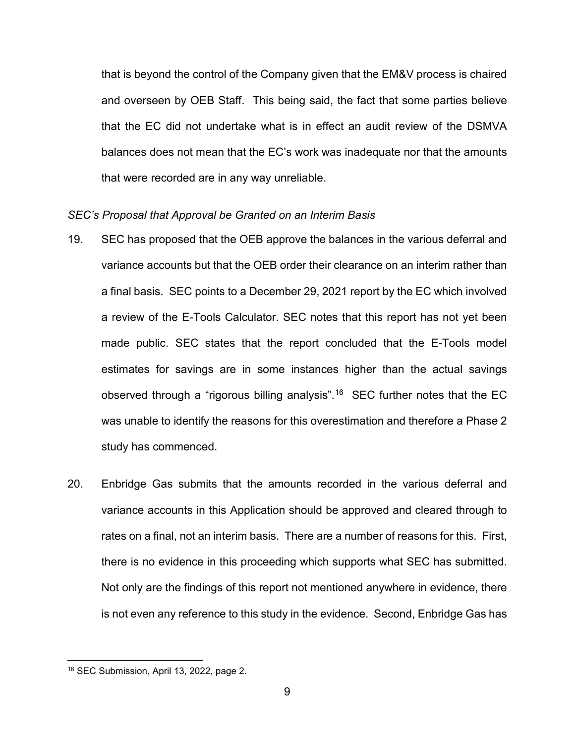that is beyond the control of the Company given that the EM&V process is chaired and overseen by OEB Staff. This being said, the fact that some parties believe that the EC did not undertake what is in effect an audit review of the DSMVA balances does not mean that the EC's work was inadequate nor that the amounts that were recorded are in any way unreliable.

#### *SEC's Proposal that Approval be Granted on an Interim Basis*

- 19. SEC has proposed that the OEB approve the balances in the various deferral and variance accounts but that the OEB order their clearance on an interim rather than a final basis. SEC points to a December 29, 2021 report by the EC which involved a review of the E-Tools Calculator. SEC notes that this report has not yet been made public. SEC states that the report concluded that the E-Tools model estimates for savings are in some instances higher than the actual savings observed through a "rigorous billing analysis". [16](#page-11-0) SEC further notes that the EC was unable to identify the reasons for this overestimation and therefore a Phase 2 study has commenced.
- 20. Enbridge Gas submits that the amounts recorded in the various deferral and variance accounts in this Application should be approved and cleared through to rates on a final, not an interim basis. There are a number of reasons for this. First, there is no evidence in this proceeding which supports what SEC has submitted. Not only are the findings of this report not mentioned anywhere in evidence, there is not even any reference to this study in the evidence. Second, Enbridge Gas has

<span id="page-11-0"></span><sup>16</sup> SEC Submission, April 13, 2022, page 2.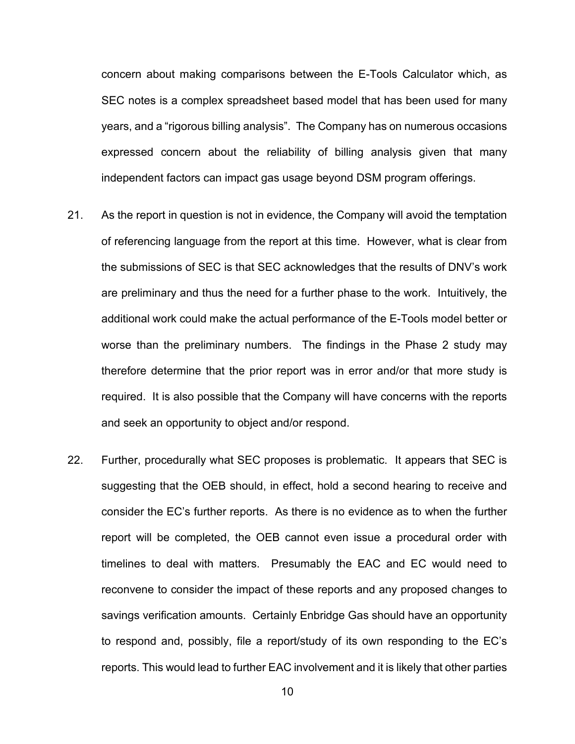concern about making comparisons between the E-Tools Calculator which, as SEC notes is a complex spreadsheet based model that has been used for many years, and a "rigorous billing analysis". The Company has on numerous occasions expressed concern about the reliability of billing analysis given that many independent factors can impact gas usage beyond DSM program offerings.

- 21. As the report in question is not in evidence, the Company will avoid the temptation of referencing language from the report at this time. However, what is clear from the submissions of SEC is that SEC acknowledges that the results of DNV's work are preliminary and thus the need for a further phase to the work. Intuitively, the additional work could make the actual performance of the E-Tools model better or worse than the preliminary numbers. The findings in the Phase 2 study may therefore determine that the prior report was in error and/or that more study is required. It is also possible that the Company will have concerns with the reports and seek an opportunity to object and/or respond.
- 22. Further, procedurally what SEC proposes is problematic. It appears that SEC is suggesting that the OEB should, in effect, hold a second hearing to receive and consider the EC's further reports. As there is no evidence as to when the further report will be completed, the OEB cannot even issue a procedural order with timelines to deal with matters. Presumably the EAC and EC would need to reconvene to consider the impact of these reports and any proposed changes to savings verification amounts. Certainly Enbridge Gas should have an opportunity to respond and, possibly, file a report/study of its own responding to the EC's reports. This would lead to further EAC involvement and it is likely that other parties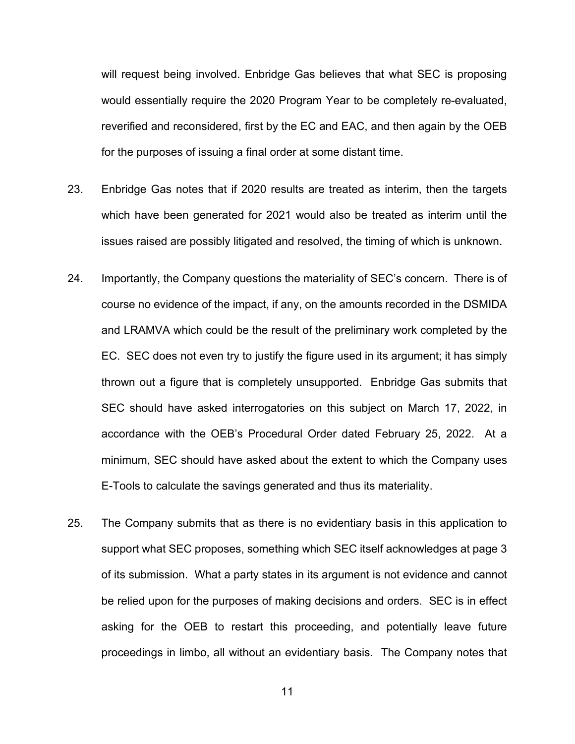will request being involved. Enbridge Gas believes that what SEC is proposing would essentially require the 2020 Program Year to be completely re-evaluated, reverified and reconsidered, first by the EC and EAC, and then again by the OEB for the purposes of issuing a final order at some distant time.

- 23. Enbridge Gas notes that if 2020 results are treated as interim, then the targets which have been generated for 2021 would also be treated as interim until the issues raised are possibly litigated and resolved, the timing of which is unknown.
- 24. Importantly, the Company questions the materiality of SEC's concern. There is of course no evidence of the impact, if any, on the amounts recorded in the DSMIDA and LRAMVA which could be the result of the preliminary work completed by the EC. SEC does not even try to justify the figure used in its argument; it has simply thrown out a figure that is completely unsupported. Enbridge Gas submits that SEC should have asked interrogatories on this subject on March 17, 2022, in accordance with the OEB's Procedural Order dated February 25, 2022. At a minimum, SEC should have asked about the extent to which the Company uses E-Tools to calculate the savings generated and thus its materiality.
- 25. The Company submits that as there is no evidentiary basis in this application to support what SEC proposes, something which SEC itself acknowledges at page 3 of its submission. What a party states in its argument is not evidence and cannot be relied upon for the purposes of making decisions and orders. SEC is in effect asking for the OEB to restart this proceeding, and potentially leave future proceedings in limbo, all without an evidentiary basis. The Company notes that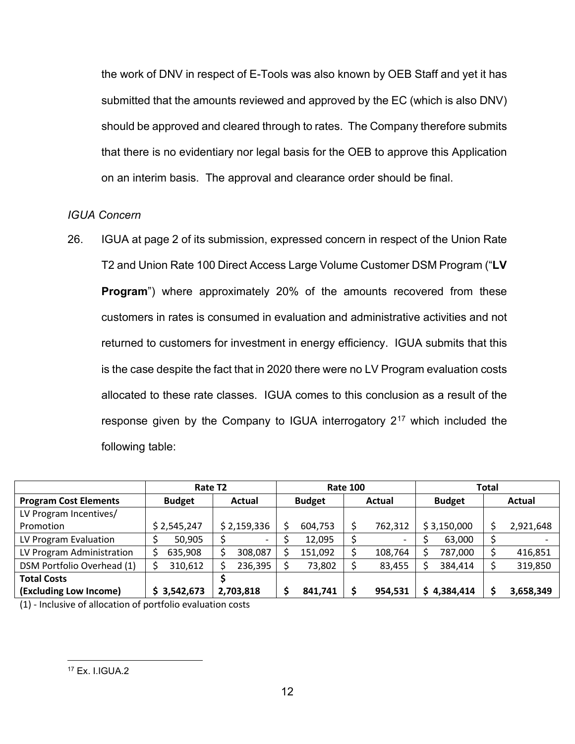the work of DNV in respect of E-Tools was also known by OEB Staff and yet it has submitted that the amounts reviewed and approved by the EC (which is also DNV) should be approved and cleared through to rates. The Company therefore submits that there is no evidentiary nor legal basis for the OEB to approve this Application on an interim basis. The approval and clearance order should be final.

## *IGUA Concern*

26. IGUA at page 2 of its submission, expressed concern in respect of the Union Rate T2 and Union Rate 100 Direct Access Large Volume Customer DSM Program ("**LV Program**") where approximately 20% of the amounts recovered from these customers in rates is consumed in evaluation and administrative activities and not returned to customers for investment in energy efficiency. IGUA submits that this is the case despite the fact that in 2020 there were no LV Program evaluation costs allocated to these rate classes. IGUA comes to this conclusion as a result of the response given by the Company to IGUA interrogatory  $2^{17}$  $2^{17}$  $2^{17}$  which included the following table:

|                              | Rate T <sub>2</sub> |               |               | <b>Rate 100</b>          |               | <b>Total</b> |
|------------------------------|---------------------|---------------|---------------|--------------------------|---------------|--------------|
| <b>Program Cost Elements</b> | <b>Budget</b>       | Actual        | <b>Budget</b> | Actual                   | <b>Budget</b> | Actual       |
| LV Program Incentives/       |                     |               |               |                          |               |              |
| Promotion                    | \$2,545,247         | \$2,159,336   | 604,753       | 762,312                  | \$3,150,000   | 2,921,648    |
| LV Program Evaluation        | 50,905              | \$            | 12,095        | $\overline{\phantom{0}}$ | 63,000        |              |
| LV Program Administration    | 635,908             | \$<br>308,087 | 151,092       | 108,764                  | 787,000       | 416,851      |
| DSM Portfolio Overhead (1)   | 310,612             | 236,395<br>¢  | 73,802        | 83,455                   | 384,414       | 319,850      |
| <b>Total Costs</b>           |                     |               |               |                          |               |              |
| (Excluding Low Income)       | \$3,542,673         | 2,703,818     | 841,741       | 954,531                  | 4,384,414     | 3,658,349    |

<span id="page-14-0"></span>(1) - Inclusive of allocation of portfolio evaluation costs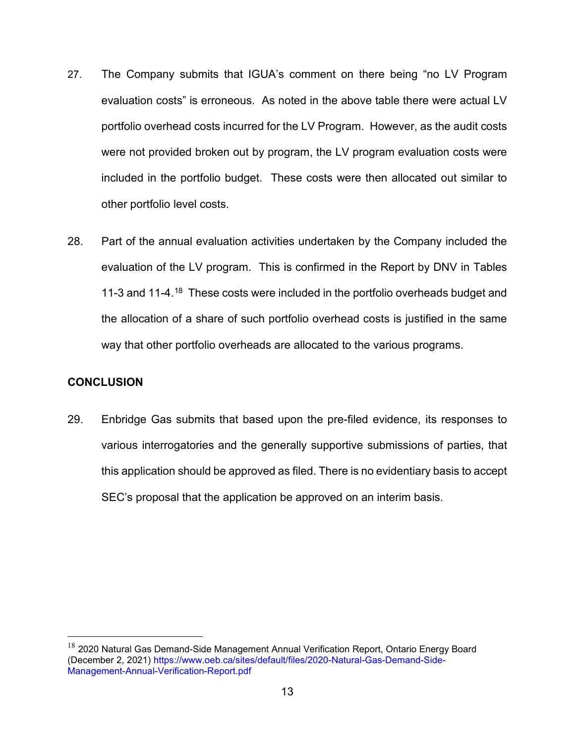- 27. The Company submits that IGUA's comment on there being "no LV Program evaluation costs" is erroneous. As noted in the above table there were actual LV portfolio overhead costs incurred for the LV Program. However, as the audit costs were not provided broken out by program, the LV program evaluation costs were included in the portfolio budget. These costs were then allocated out similar to other portfolio level costs.
- 28. Part of the annual evaluation activities undertaken by the Company included the evaluation of the LV program. This is confirmed in the Report by DNV in Tables 11-3 and 11-4.[18](#page-15-1) These costs were included in the portfolio overheads budget and the allocation of a share of such portfolio overhead costs is justified in the same way that other portfolio overheads are allocated to the various programs.

## <span id="page-15-0"></span>**CONCLUSION**

29. Enbridge Gas submits that based upon the pre-filed evidence, its responses to various interrogatories and the generally supportive submissions of parties, that this application should be approved as filed. There is no evidentiary basis to accept SEC's proposal that the application be approved on an interim basis.

<span id="page-15-1"></span> $18$  2020 Natural Gas Demand-Side Management Annual Verification Report, Ontario Energy Board (December 2, 2021) https://www.oeb.ca/sites/default/files/2020-Natural-Gas-Demand-Side-Management-Annual-Verification-Report.pdf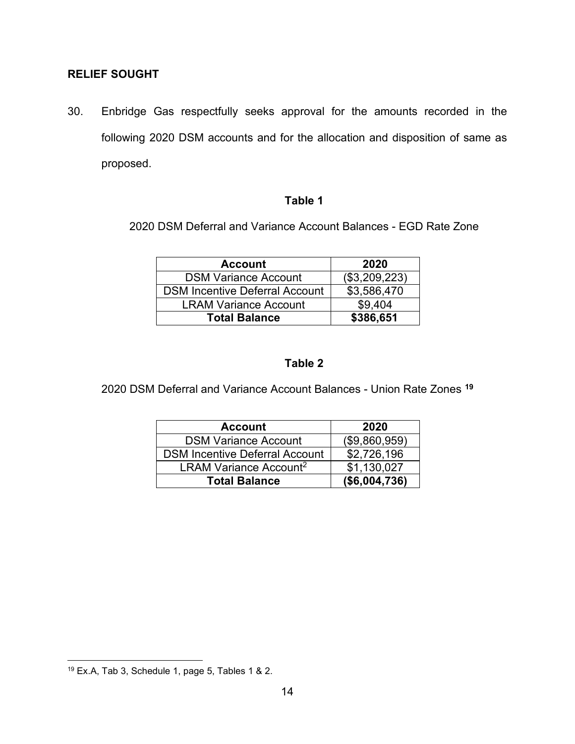## <span id="page-16-0"></span>**RELIEF SOUGHT**

30. Enbridge Gas respectfully seeks approval for the amounts recorded in the following 2020 DSM accounts and for the allocation and disposition of same as proposed.

## **Table 1**

2020 DSM Deferral and Variance Account Balances - EGD Rate Zone

| <b>Account</b>                        | 2020          |
|---------------------------------------|---------------|
| <b>DSM Variance Account</b>           | (\$3,209,223) |
| <b>DSM Incentive Deferral Account</b> | \$3,586,470   |
| <b>LRAM Variance Account</b>          | \$9,404       |
| <b>Total Balance</b>                  | \$386,651     |

## **Table 2**

2020 DSM Deferral and Variance Account Balances - Union Rate Zones **[19](#page-16-1)**

| <b>Account</b>                        | 2020          |
|---------------------------------------|---------------|
| <b>DSM Variance Account</b>           | (\$9,860,959) |
| <b>DSM Incentive Deferral Account</b> | \$2,726,196   |
| LRAM Variance Account <sup>2</sup>    | \$1,130,027   |
| <b>Total Balance</b>                  | (\$6,004,736) |

<span id="page-16-1"></span><sup>19</sup> Ex.A, Tab 3, Schedule 1, page 5, Tables 1 & 2.